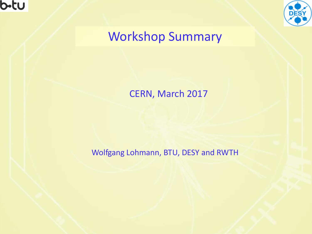



# Workshop Summary

#### CERN, March 2017

Wolfgang Lohmann, BTU, DESY and RWTH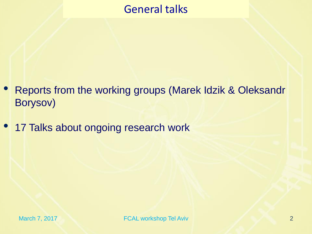# General talks

- Reports from the working groups (Marek Idzik & Oleksandr Borysov)
- 17 Talks about ongoing research work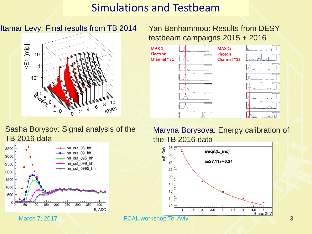## Simulations and Testbeam

#### Itamar Levy: Final results from TB 2014 Yan Benhammou: Results from DESY



# testbeam campaigns 2015 + 2016



#### Sasha Borysov: Signal analysis of the TB 2016 data



Maryna Borysova: Energy calibration of the TB 2016 data

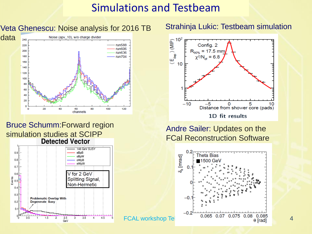#### Simulations and Testbeam

Veta Ghenescu: Noise analysis for 2016 TB Strahinja Lukic: Testbeam simulation



#### Bruce Schumm:Forward region simulation studies at SCIPP<br>Detected Vector





Andre Sailer: Updates on the FCal Reconstruction Software

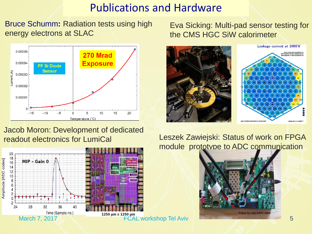## Publications and Hardware

Bruce Schumm**:** Radiation tests using high energy electrons at SLAC



#### Jacob Moron: Development of dedicated readout electronics for LumiCal



Eva Sicking: Multi-pad sensor testing for the CMS HGC SiW calorimeter



#### Leszek Zawiejski: Status of work on FPGA module prototype to ADC communication

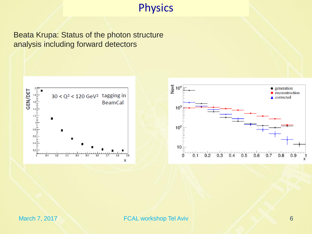## **Physics**

Beata Krupa: Status of the photon structure analysis including forward detectors





March 7, 2017 6 FCAL workshop Tel Aviv